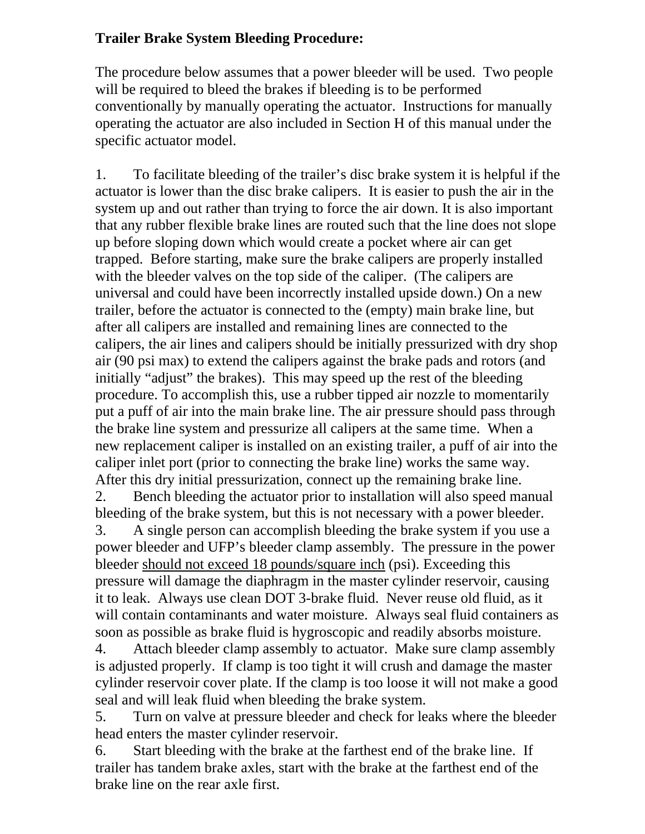## **Trailer Brake System Bleeding Procedure:**

The procedure below assumes that a power bleeder will be used. Two people will be required to bleed the brakes if bleeding is to be performed conventionally by manually operating the actuator. Instructions for manually operating the actuator are also included in Section H of this manual under the specific actuator model.

1. To facilitate bleeding of the trailer's disc brake system it is helpful if the actuator is lower than the disc brake calipers. It is easier to push the air in the system up and out rather than trying to force the air down. It is also important that any rubber flexible brake lines are routed such that the line does not slope up before sloping down which would create a pocket where air can get trapped. Before starting, make sure the brake calipers are properly installed with the bleeder valves on the top side of the caliper. (The calipers are universal and could have been incorrectly installed upside down.) On a new trailer, before the actuator is connected to the (empty) main brake line, but after all calipers are installed and remaining lines are connected to the calipers, the air lines and calipers should be initially pressurized with dry shop air (90 psi max) to extend the calipers against the brake pads and rotors (and initially "adjust" the brakes). This may speed up the rest of the bleeding procedure. To accomplish this, use a rubber tipped air nozzle to momentarily put a puff of air into the main brake line. The air pressure should pass through the brake line system and pressurize all calipers at the same time. When a new replacement caliper is installed on an existing trailer, a puff of air into the caliper inlet port (prior to connecting the brake line) works the same way. After this dry initial pressurization, connect up the remaining brake line.

2. Bench bleeding the actuator prior to installation will also speed manual bleeding of the brake system, but this is not necessary with a power bleeder.

3. A single person can accomplish bleeding the brake system if you use a power bleeder and UFP's bleeder clamp assembly. The pressure in the power bleeder should not exceed 18 pounds/square inch (psi). Exceeding this pressure will damage the diaphragm in the master cylinder reservoir, causing it to leak. Always use clean DOT 3-brake fluid. Never reuse old fluid, as it will contain contaminants and water moisture. Always seal fluid containers as soon as possible as brake fluid is hygroscopic and readily absorbs moisture.

4. Attach bleeder clamp assembly to actuator. Make sure clamp assembly is adjusted properly. If clamp is too tight it will crush and damage the master cylinder reservoir cover plate. If the clamp is too loose it will not make a good seal and will leak fluid when bleeding the brake system.

5. Turn on valve at pressure bleeder and check for leaks where the bleeder head enters the master cylinder reservoir.

6. Start bleeding with the brake at the farthest end of the brake line. If trailer has tandem brake axles, start with the brake at the farthest end of the brake line on the rear axle first.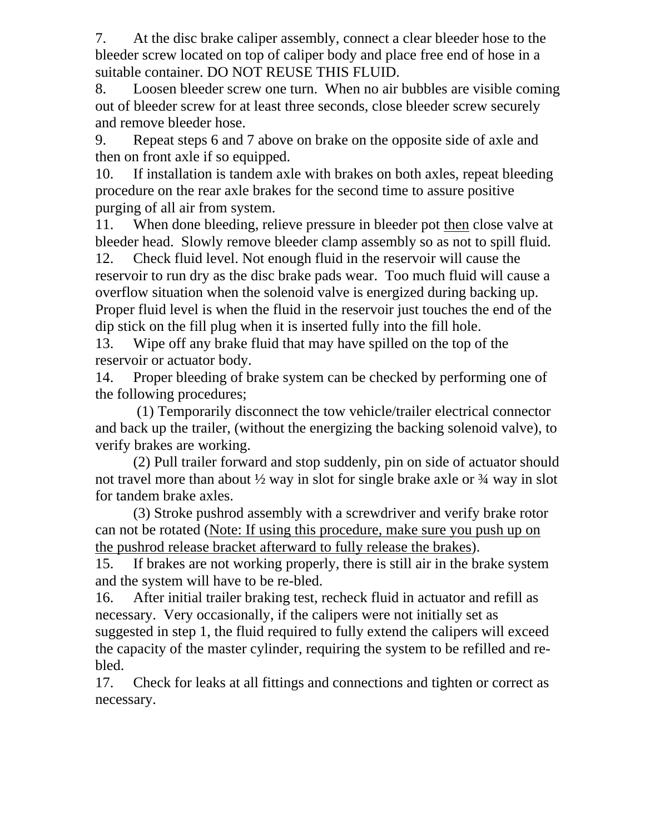7. At the disc brake caliper assembly, connect a clear bleeder hose to the bleeder screw located on top of caliper body and place free end of hose in a suitable container. DO NOT REUSE THIS FLUID.

8. Loosen bleeder screw one turn. When no air bubbles are visible coming out of bleeder screw for at least three seconds, close bleeder screw securely and remove bleeder hose.

9. Repeat steps 6 and 7 above on brake on the opposite side of axle and then on front axle if so equipped.

10. If installation is tandem axle with brakes on both axles, repeat bleeding procedure on the rear axle brakes for the second time to assure positive purging of all air from system.

11. When done bleeding, relieve pressure in bleeder pot then close valve at bleeder head. Slowly remove bleeder clamp assembly so as not to spill fluid.

12. Check fluid level. Not enough fluid in the reservoir will cause the reservoir to run dry as the disc brake pads wear. Too much fluid will cause a overflow situation when the solenoid valve is energized during backing up. Proper fluid level is when the fluid in the reservoir just touches the end of the dip stick on the fill plug when it is inserted fully into the fill hole.

13. Wipe off any brake fluid that may have spilled on the top of the reservoir or actuator body.

14. Proper bleeding of brake system can be checked by performing one of the following procedures;

 (1) Temporarily disconnect the tow vehicle/trailer electrical connector and back up the trailer, (without the energizing the backing solenoid valve), to verify brakes are working.

(2) Pull trailer forward and stop suddenly, pin on side of actuator should not travel more than about  $\frac{1}{2}$  way in slot for single brake axle or  $\frac{3}{4}$  way in slot for tandem brake axles.

(3) Stroke pushrod assembly with a screwdriver and verify brake rotor can not be rotated (Note: If using this procedure, make sure you push up on the pushrod release bracket afterward to fully release the brakes).

15. If brakes are not working properly, there is still air in the brake system and the system will have to be re-bled.

16. After initial trailer braking test, recheck fluid in actuator and refill as necessary. Very occasionally, if the calipers were not initially set as suggested in step 1, the fluid required to fully extend the calipers will exceed the capacity of the master cylinder, requiring the system to be refilled and rebled.

17. Check for leaks at all fittings and connections and tighten or correct as necessary.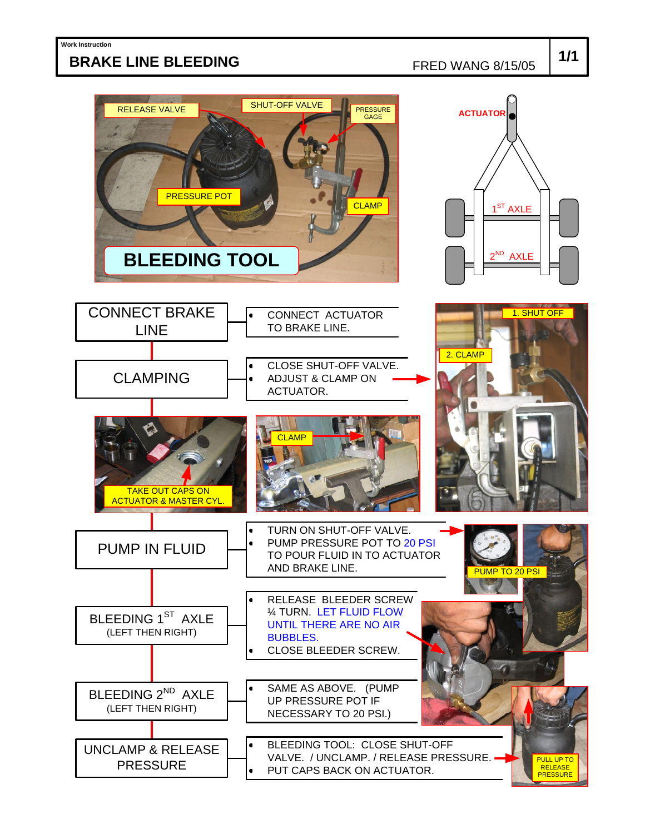## **BRAKE LINE BLEEDING**

FRED WANG 8/15/05

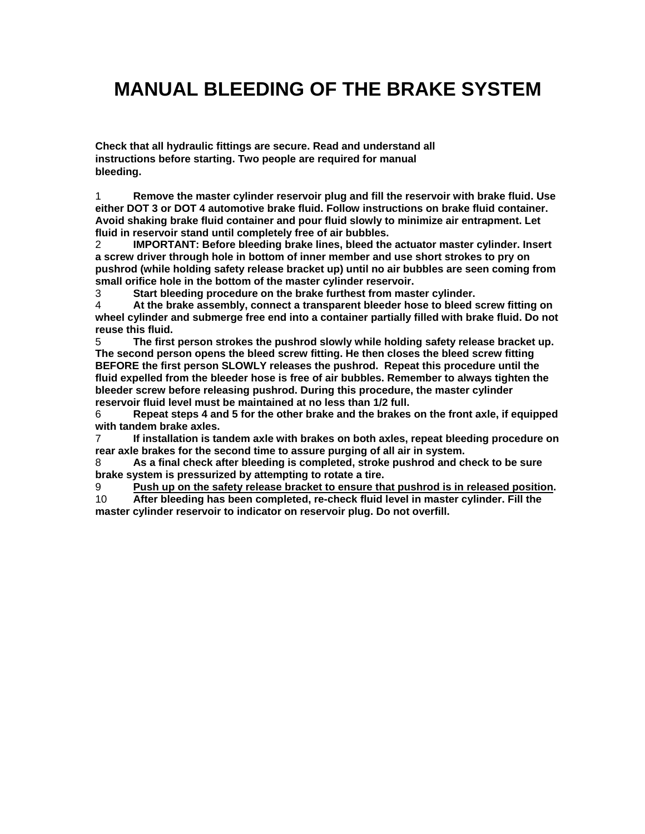# **MANUAL BLEEDING OF THE BRAKE SYSTEM**

**Check that all hydraulic fittings are secure. Read and understand all instructions before starting. Two people are required for manual bleeding.** 

1 **Remove the master cylinder reservoir plug and fill the reservoir with brake fluid. Use either DOT 3 or DOT 4 automotive brake fluid. Follow instructions on brake fluid container. Avoid shaking brake fluid container and pour fluid slowly to minimize air entrapment. Let fluid in reservoir stand until completely free of air bubbles.** 

2 **IMPORTANT: Before bleeding brake lines, bleed the actuator master cylinder. Insert a screw driver through hole in bottom of inner member and use short strokes to pry on pushrod (while holding safety release bracket up) until no air bubbles are seen coming from small orifice hole in the bottom of the master cylinder reservoir.** 

3 **Start bleeding procedure on the brake furthest from master cylinder.** 

4 **At the brake assembly, connect a transparent bleeder hose to bleed screw fitting on wheel cylinder and submerge free end into a container partially filled with brake fluid. Do not reuse this fluid.** 

5 **The first person strokes the pushrod slowly while holding safety release bracket up. The second person opens the bleed screw fitting. He then closes the bleed screw fitting BEFORE the first person SLOWLY releases the pushrod. Repeat this procedure until the fluid expelled from the bleeder hose is free of air bubbles. Remember to always tighten the bleeder screw before releasing pushrod. During this procedure, the master cylinder reservoir fluid level must be maintained at no less than 1/2 full.** 

6 **Repeat steps 4 and 5 for the other brake and the brakes on the front axle, if equipped with tandem brake axles.** 

7 **If installation is tandem axle with brakes on both axles, repeat bleeding procedure on rear axle brakes for the second time to assure purging of all air in system.** 

8 **As a final check after bleeding is completed, stroke pushrod and check to be sure brake system is pressurized by attempting to rotate a tire.** 

9 **Push up on the safety release bracket to ensure that pushrod is in released position.** 

10 **After bleeding has been completed, re-check fluid level in master cylinder. Fill the master cylinder reservoir to indicator on reservoir plug. Do not overfill.**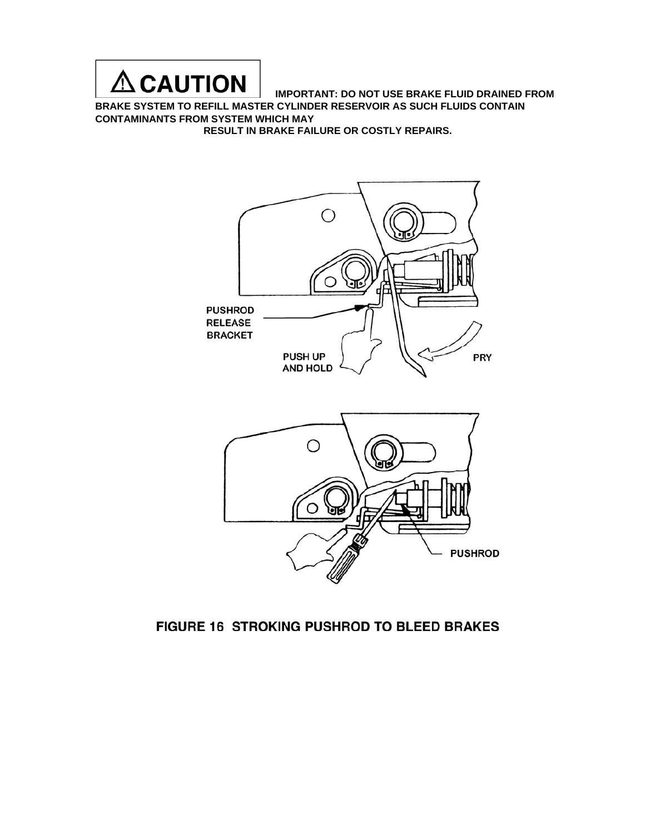

**IMPORTANT: DO NOT USE BRAKE FLUID DRAINED FROM** 

**BRAKE SYSTEM TO REFILL MASTER CYLINDER RESERVOIR AS SUCH FLUIDS CONTAIN CONTAMINANTS FROM SYSTEM WHICH MAY** 

**RESULT IN BRAKE FAILURE OR COSTLY REPAIRS.** 





### FIGURE 16 STROKING PUSHROD TO BLEED BRAKES